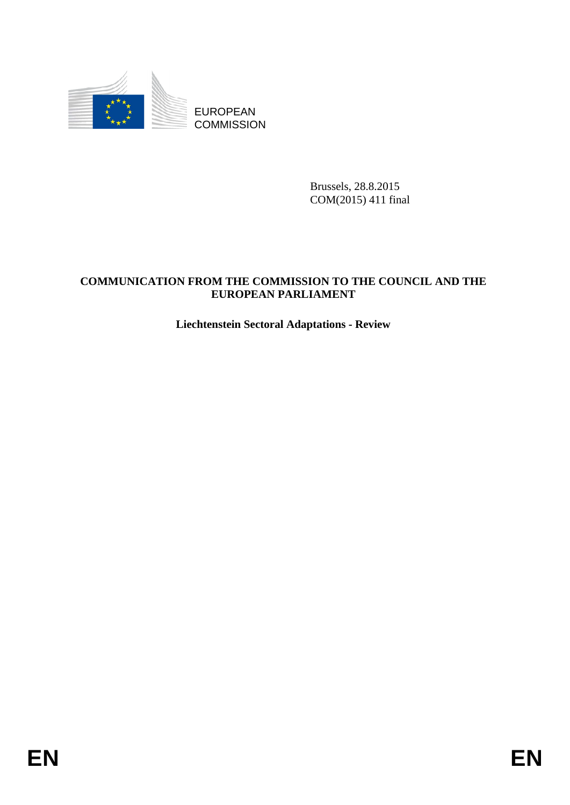

Brussels, 28.8.2015 COM(2015) 411 final

## **COMMUNICATION FROM THE COMMISSION TO THE COUNCIL AND THE EUROPEAN PARLIAMENT**

# **Liechtenstein Sectoral Adaptations - Review**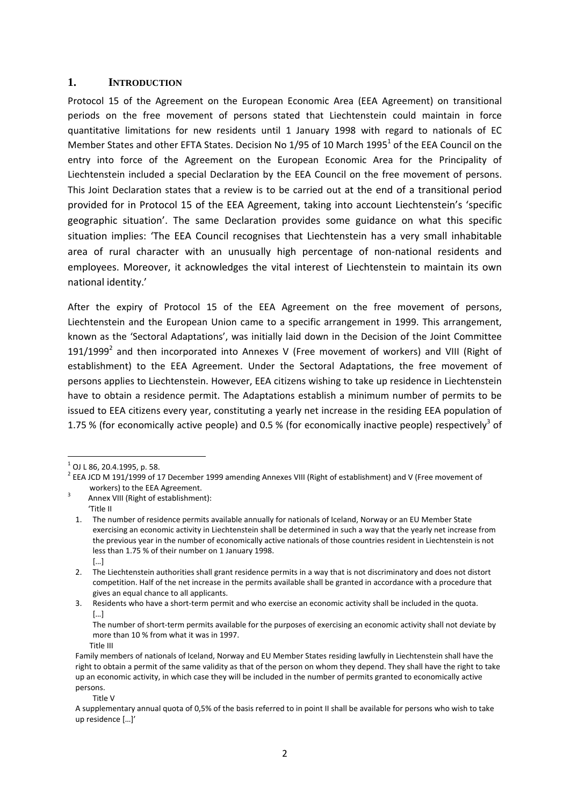#### **1. INTRODUCTION**

Protocol 15 of the Agreement on the European Economic Area (EEA Agreement) on transitional periods on the free movement of persons stated that Liechtenstein could maintain in force quantitative limitations for new residents until 1 January 1998 with regard to nationals of EC Member States and other EFTA States. Decision No 1/95 of 10 March 1995 $^1$  of the EEA Council on the entry into force of the Agreement on the European Economic Area for the Principality of Liechtenstein included a special Declaration by the EEA Council on the free movement of persons. This Joint Declaration states that a review is to be carried out at the end of a transitional period provided for in Protocol 15 of the EEA Agreement, taking into account Liechtenstein's 'specific geographic situation'. The same Declaration provides some guidance on what this specific situation implies: 'The EEA Council recognises that Liechtenstein has a very small inhabitable area of rural character with an unusually high percentage of non-national residents and employees. Moreover, it acknowledges the vital interest of Liechtenstein to maintain its own national identity.'

After the expiry of Protocol 15 of the EEA Agreement on the free movement of persons, Liechtenstein and the European Union came to a specific arrangement in 1999. This arrangement, known as the 'Sectoral Adaptations', was initially laid down in the Decision of the Joint Committee 191/1999<sup>2</sup> and then incorporated into Annexes V (Free movement of workers) and VIII (Right of establishment) to the EEA Agreement. Under the Sectoral Adaptations, the free movement of persons applies to Liechtenstein. However, EEA citizens wishing to take up residence in Liechtenstein have to obtain a residence permit. The Adaptations establish a minimum number of permits to be issued to EEA citizens every year, constituting a yearly net increase in the residing EEA population of 1.75 % (for economically active people) and 0.5 % (for economically inactive people) respectively<sup>3</sup> of

**.** 

3. Residents who have a short-term permit and who exercise an economic activity shall be included in the quota.  $[...]$ 

The number of short-term permits available for the purposes of exercising an economic activity shall not deviate by more than 10 % from what it was in 1997.

Title V

 $^{1}$  OJ L 86, 20.4.1995, p. 58.

 $2$  EEA JCD M 191/1999 of 17 December 1999 amending Annexes VIII (Right of establishment) and V (Free movement of workers) to the EEA Agreement.

Annex VIII (Right of establishment):

<sup>&#</sup>x27;Title II

<sup>1.</sup> The number of residence permits available annually for nationals of Iceland, Norway or an EU Member State exercising an economic activity in Liechtenstein shall be determined in such a way that the yearly net increase from the previous year in the number of economically active nationals of those countries resident in Liechtenstein is not less than 1.75 % of their number on 1 January 1998. […]

<sup>2.</sup> The Liechtenstein authorities shall grant residence permits in a way that is not discriminatory and does not distort competition. Half of the net increase in the permits available shall be granted in accordance with a procedure that gives an equal chance to all applicants.

Title III

Family members of nationals of Iceland, Norway and EU Member States residing lawfully in Liechtenstein shall have the right to obtain a permit of the same validity as that of the person on whom they depend. They shall have the right to take up an economic activity, in which case they will be included in the number of permits granted to economically active persons.

A supplementary annual quota of 0,5% of the basis referred to in point II shall be available for persons who wish to take up residence […]'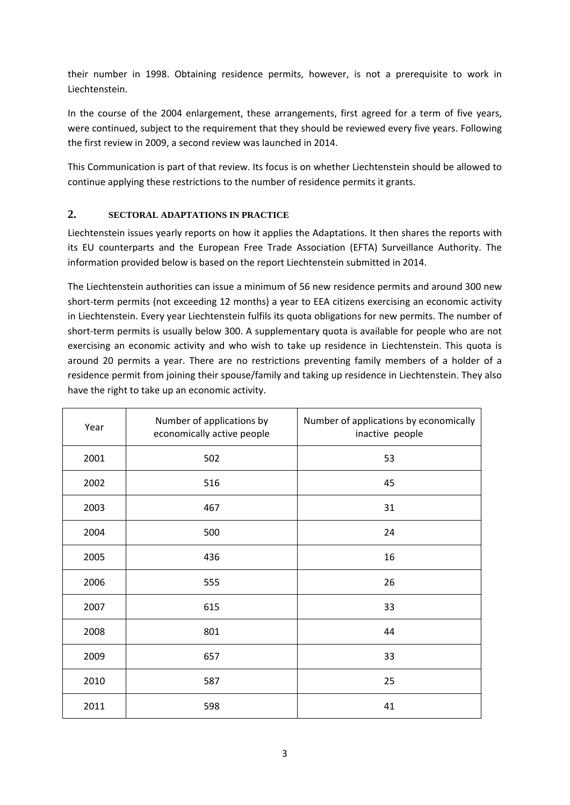their number in 1998. Obtaining residence permits, however, is not a prerequisite to work in Liechtenstein.

In the course of the 2004 enlargement, these arrangements, first agreed for a term of five years, were continued, subject to the requirement that they should be reviewed every five years. Following the first review in 2009, a second review was launched in 2014.

This Communication is part of that review. Its focus is on whether Liechtenstein should be allowed to continue applying these restrictions to the number of residence permits it grants.

### **2. SECTORAL ADAPTATIONS IN PRACTICE**

Liechtenstein issues yearly reports on how it applies the Adaptations. It then shares the reports with its EU counterparts and the European Free Trade Association (EFTA) Surveillance Authority. The information provided below is based on the report Liechtenstein submitted in 2014.

The Liechtenstein authorities can issue a minimum of 56 new residence permits and around 300 new short-term permits (not exceeding 12 months) a year to EEA citizens exercising an economic activity in Liechtenstein. Every year Liechtenstein fulfils its quota obligations for new permits. The number of short-term permits is usually below 300. A supplementary quota is available for people who are not exercising an economic activity and who wish to take up residence in Liechtenstein. This quota is around 20 permits a year. There are no restrictions preventing family members of a holder of a residence permit from joining their spouse/family and taking up residence in Liechtenstein. They also have the right to take up an economic activity.

| Year | Number of applications by<br>economically active people | Number of applications by economically<br>inactive people |
|------|---------------------------------------------------------|-----------------------------------------------------------|
| 2001 | 502                                                     | 53                                                        |
| 2002 | 516                                                     | 45                                                        |
| 2003 | 467                                                     | 31                                                        |
| 2004 | 500                                                     | 24                                                        |
| 2005 | 436                                                     | 16                                                        |
| 2006 | 555                                                     | 26                                                        |
| 2007 | 615                                                     | 33                                                        |
| 2008 | 801                                                     | 44                                                        |
| 2009 | 657                                                     | 33                                                        |
| 2010 | 587                                                     | 25                                                        |
| 2011 | 598                                                     | 41                                                        |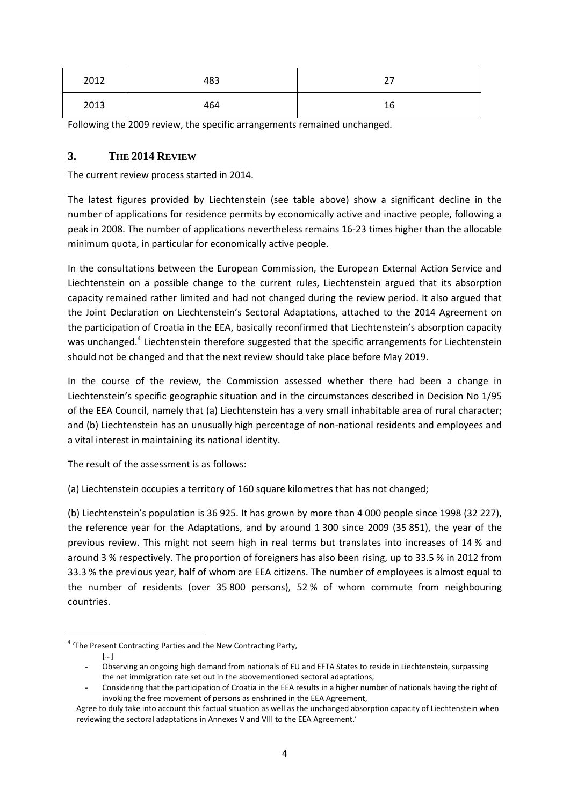| 2012 | 483 | ີ  |
|------|-----|----|
| 2013 | 464 | 16 |

Following the 2009 review, the specific arrangements remained unchanged.

### **3. THE 2014 REVIEW**

The current review process started in 2014.

The latest figures provided by Liechtenstein (see table above) show a significant decline in the number of applications for residence permits by economically active and inactive people, following a peak in 2008. The number of applications nevertheless remains 16-23 times higher than the allocable minimum quota, in particular for economically active people.

In the consultations between the European Commission, the European External Action Service and Liechtenstein on a possible change to the current rules, Liechtenstein argued that its absorption capacity remained rather limited and had not changed during the review period. It also argued that the Joint Declaration on Liechtenstein's Sectoral Adaptations, attached to the 2014 Agreement on the participation of Croatia in the EEA, basically reconfirmed that Liechtenstein's absorption capacity was unchanged.<sup>4</sup> Liechtenstein therefore suggested that the specific arrangements for Liechtenstein should not be changed and that the next review should take place before May 2019.

In the course of the review, the Commission assessed whether there had been a change in Liechtenstein's specific geographic situation and in the circumstances described in Decision No 1/95 of the EEA Council, namely that (a) Liechtenstein has a very small inhabitable area of rural character; and (b) Liechtenstein has an unusually high percentage of non-national residents and employees and a vital interest in maintaining its national identity.

The result of the assessment is as follows:

(a) Liechtenstein occupies a territory of 160 square kilometres that has not changed;

(b) Liechtenstein's population is 36 925. It has grown by more than 4 000 people since 1998 (32 227), the reference year for the Adaptations, and by around 1 300 since 2009 (35 851), the year of the previous review. This might not seem high in real terms but translates into increases of 14 % and around 3 % respectively. The proportion of foreigners has also been rising, up to 33.5 % in 2012 from 33.3 % the previous year, half of whom are EEA citizens. The number of employees is almost equal to the number of residents (over 35 800 persons), 52 % of whom commute from neighbouring countries.

**<sup>.</sup>** <sup>4</sup> 'The Present Contracting Parties and the New Contracting Party,

 <sup>[…]</sup> 

<sup>-</sup> Observing an ongoing high demand from nationals of EU and EFTA States to reside in Liechtenstein, surpassing the net immigration rate set out in the abovementioned sectoral adaptations,

Considering that the participation of Croatia in the EEA results in a higher number of nationals having the right of invoking the free movement of persons as enshrined in the EEA Agreement,

Agree to duly take into account this factual situation as well as the unchanged absorption capacity of Liechtenstein when reviewing the sectoral adaptations in Annexes V and VIII to the EEA Agreement.'